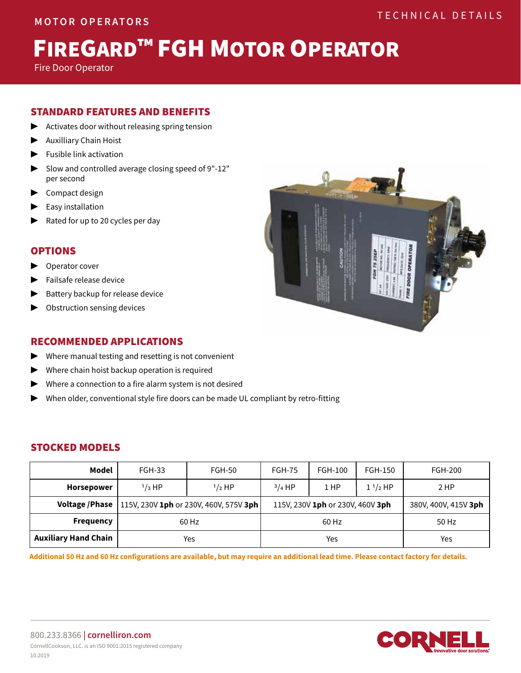# FIREGARD™ FGH MOTOR OPERATOR

Fire Door Operator

# STANDARD FEATURES AND BENEFITS

- Activates door without releasing spring tension
- **Auxilliary Chain Hoist**
- **Fusible link activation**
- ▶ Slow and controlled average closing speed of 9"-12" per second
- ▶ Compact design
- **Easy installation**
- Rated for up to 20 cycles per day

## OPTIONS

- Operator cover
- Failsafe release device
- Battery backup for release device
- Obstruction sensing devices

# RECOMMENDED APPLICATIONS

- $\blacktriangleright$  Where manual testing and resetting is not convenient
- Where chain hoist backup operation is required
- $\blacktriangleright$  Where a connection to a fire alarm system is not desired
- ▶ When older, conventional style fire doors can be made UL compliant by retro-fitting

# STOCKED MODELS

| Model                       | <b>FGH-33</b>                                            | <b>FGH-50</b> | <b>FGH-75</b>                    | FGH-100 | FGH-150      | FGH-200              |
|-----------------------------|----------------------------------------------------------|---------------|----------------------------------|---------|--------------|----------------------|
| <b>Horsepower</b>           | $1/3$ HP                                                 | $1/2$ HP      | $3/4$ HP                         | $1$ HP  | $1^{1/2}$ HP | 2 HP                 |
|                             | Voltage / Phase   115V, 230V 1ph or 230V, 460V, 575V 3ph |               | 115V, 230V 1ph or 230V, 460V 3ph |         |              | 380V, 400V, 415V 3ph |
| <b>Frequency</b>            | 60 Hz                                                    |               | 60 Hz                            |         |              | 50 Hz                |
| <b>Auxiliary Hand Chain</b> | Yes                                                      |               | Yes                              |         |              | Yes                  |

**Additional 50 Hz and 60 Hz configurations are available, but may require an additional lead time. Please contact factory for details.**